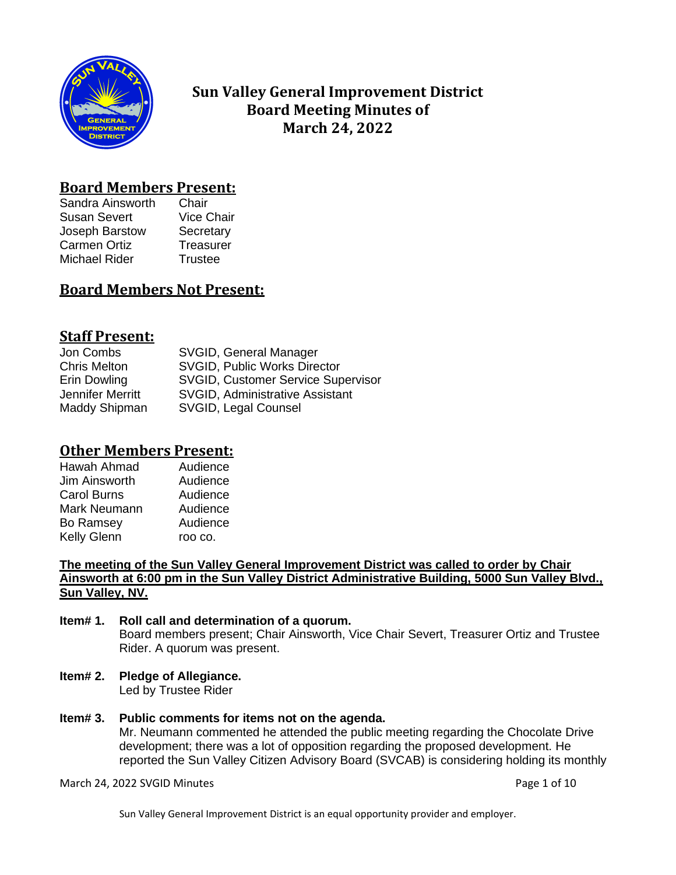

# **Sun Valley General Improvement District Board Meeting Minutes of March 24, 2022**

## **Board Members Present:**

Sandra Ainsworth Chair Susan Severt Vice Chair Joseph Barstow Secretary Carmen Ortiz **Treasurer** Michael Rider Trustee

# **Board Members Not Present:**

# **Staff Present:**

| SVGID, General Manager                 |
|----------------------------------------|
| <b>SVGID, Public Works Director</b>    |
| SVGID, Customer Service Supervisor     |
| <b>SVGID, Administrative Assistant</b> |
| SVGID, Legal Counsel                   |
|                                        |

# **Other Members Present:**

| Hawah Ahmad        | Audience |
|--------------------|----------|
| Jim Ainsworth      | Audience |
| <b>Carol Burns</b> | Audience |
| Mark Neumann       | Audience |
| <b>Bo Ramsey</b>   | Audience |
| <b>Kelly Glenn</b> | roo co.  |
|                    |          |

**The meeting of the Sun Valley General Improvement District was called to order by Chair Ainsworth at 6:00 pm in the Sun Valley District Administrative Building, 5000 Sun Valley Blvd., Sun Valley, NV.**

#### **Item# 1. Roll call and determination of a quorum.** Board members present; Chair Ainsworth, Vice Chair Severt, Treasurer Ortiz and Trustee Rider. A quorum was present.

**Item# 2. Pledge of Allegiance.**

Led by Trustee Rider

## **Item# 3. Public comments for items not on the agenda.**

Mr. Neumann commented he attended the public meeting regarding the Chocolate Drive development; there was a lot of opposition regarding the proposed development. He reported the Sun Valley Citizen Advisory Board (SVCAB) is considering holding its monthly

### March 24, 2022 SVGID Minutes **Page 1 of 10**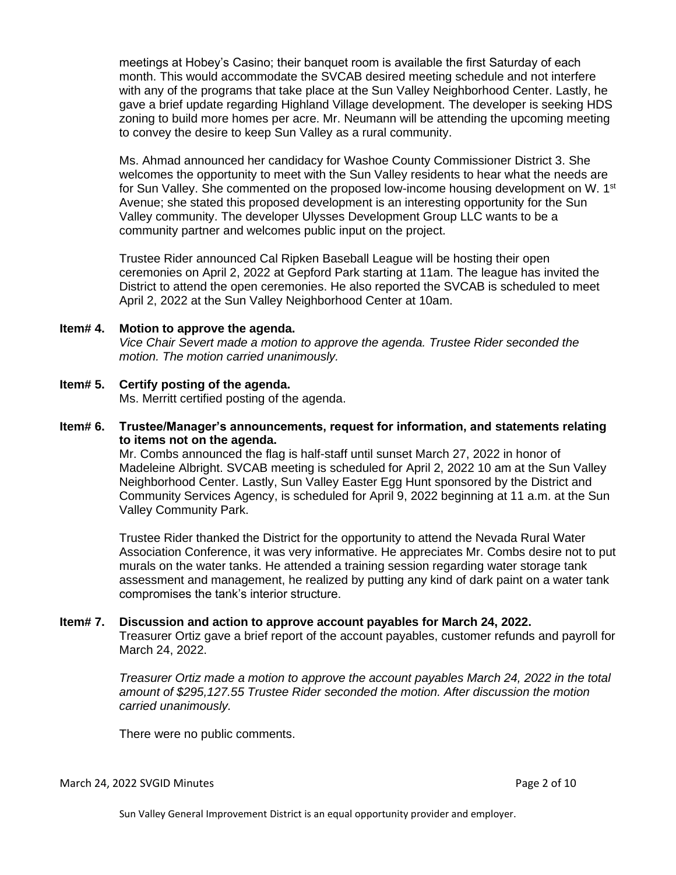meetings at Hobey's Casino; their banquet room is available the first Saturday of each month. This would accommodate the SVCAB desired meeting schedule and not interfere with any of the programs that take place at the Sun Valley Neighborhood Center. Lastly, he gave a brief update regarding Highland Village development. The developer is seeking HDS zoning to build more homes per acre. Mr. Neumann will be attending the upcoming meeting to convey the desire to keep Sun Valley as a rural community.

Ms. Ahmad announced her candidacy for Washoe County Commissioner District 3. She welcomes the opportunity to meet with the Sun Valley residents to hear what the needs are for Sun Valley. She commented on the proposed low-income housing development on W. 1<sup>st</sup> Avenue; she stated this proposed development is an interesting opportunity for the Sun Valley community. The developer Ulysses Development Group LLC wants to be a community partner and welcomes public input on the project.

Trustee Rider announced Cal Ripken Baseball League will be hosting their open ceremonies on April 2, 2022 at Gepford Park starting at 11am. The league has invited the District to attend the open ceremonies. He also reported the SVCAB is scheduled to meet April 2, 2022 at the Sun Valley Neighborhood Center at 10am.

#### **Item# 4. Motion to approve the agenda.**

*Vice Chair Severt made a motion to approve the agenda. Trustee Rider seconded the motion. The motion carried unanimously.* 

## **Item# 5. Certify posting of the agenda.**

Ms. Merritt certified posting of the agenda.

#### **Item# 6. Trustee/Manager's announcements, request for information, and statements relating to items not on the agenda.**

Mr. Combs announced the flag is half-staff until sunset March 27, 2022 in honor of Madeleine Albright. SVCAB meeting is scheduled for April 2, 2022 10 am at the Sun Valley Neighborhood Center. Lastly, Sun Valley Easter Egg Hunt sponsored by the District and Community Services Agency, is scheduled for April 9, 2022 beginning at 11 a.m. at the Sun Valley Community Park.

Trustee Rider thanked the District for the opportunity to attend the Nevada Rural Water Association Conference, it was very informative. He appreciates Mr. Combs desire not to put murals on the water tanks. He attended a training session regarding water storage tank assessment and management, he realized by putting any kind of dark paint on a water tank compromises the tank's interior structure.

#### **Item# 7. Discussion and action to approve account payables for March 24, 2022.**

Treasurer Ortiz gave a brief report of the account payables, customer refunds and payroll for March 24, 2022.

*Treasurer Ortiz made a motion to approve the account payables March 24, 2022 in the total amount of \$295,127.55 Trustee Rider seconded the motion. After discussion the motion carried unanimously.*

There were no public comments.

#### March 24, 2022 SVGID Minutes Page 2 of 10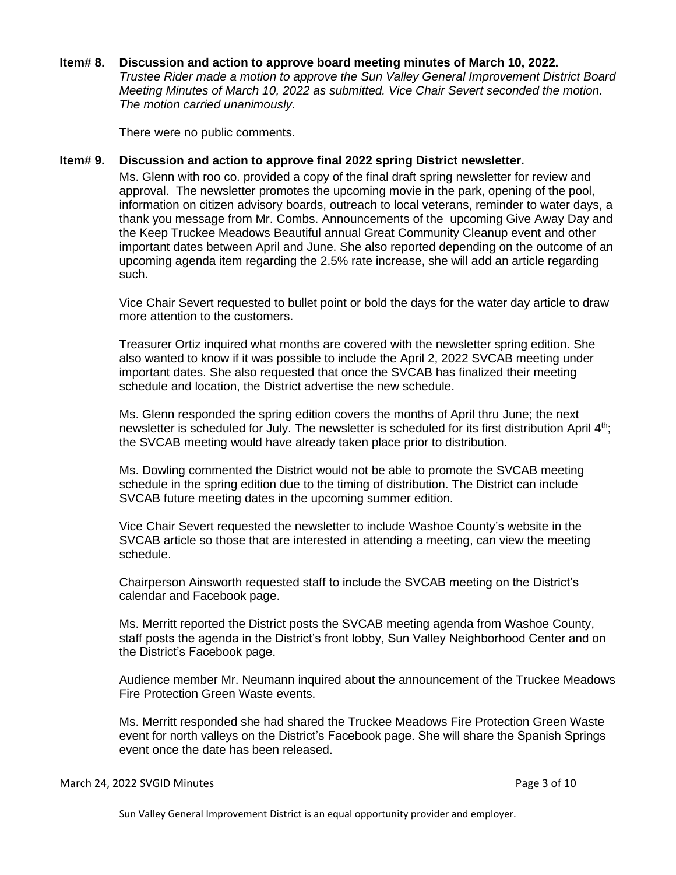#### **Item# 8. Discussion and action to approve board meeting minutes of March 10, 2022.**

*Trustee Rider made a motion to approve the Sun Valley General Improvement District Board Meeting Minutes of March 10, 2022 as submitted. Vice Chair Severt seconded the motion. The motion carried unanimously.*

There were no public comments.

#### **Item# 9. Discussion and action to approve final 2022 spring District newsletter.**

Ms. Glenn with roo co. provided a copy of the final draft spring newsletter for review and approval. The newsletter promotes the upcoming movie in the park, opening of the pool, information on citizen advisory boards, outreach to local veterans, reminder to water days, a thank you message from Mr. Combs. Announcements of the upcoming Give Away Day and the Keep Truckee Meadows Beautiful annual Great Community Cleanup event and other important dates between April and June. She also reported depending on the outcome of an upcoming agenda item regarding the 2.5% rate increase, she will add an article regarding such.

Vice Chair Severt requested to bullet point or bold the days for the water day article to draw more attention to the customers.

Treasurer Ortiz inquired what months are covered with the newsletter spring edition. She also wanted to know if it was possible to include the April 2, 2022 SVCAB meeting under important dates. She also requested that once the SVCAB has finalized their meeting schedule and location, the District advertise the new schedule.

Ms. Glenn responded the spring edition covers the months of April thru June; the next newsletter is scheduled for July. The newsletter is scheduled for its first distribution April 4<sup>th</sup>; the SVCAB meeting would have already taken place prior to distribution.

Ms. Dowling commented the District would not be able to promote the SVCAB meeting schedule in the spring edition due to the timing of distribution. The District can include SVCAB future meeting dates in the upcoming summer edition.

Vice Chair Severt requested the newsletter to include Washoe County's website in the SVCAB article so those that are interested in attending a meeting, can view the meeting schedule.

Chairperson Ainsworth requested staff to include the SVCAB meeting on the District's calendar and Facebook page.

Ms. Merritt reported the District posts the SVCAB meeting agenda from Washoe County, staff posts the agenda in the District's front lobby, Sun Valley Neighborhood Center and on the District's Facebook page.

Audience member Mr. Neumann inquired about the announcement of the Truckee Meadows Fire Protection Green Waste events.

Ms. Merritt responded she had shared the Truckee Meadows Fire Protection Green Waste event for north valleys on the District's Facebook page. She will share the Spanish Springs event once the date has been released.

#### March 24, 2022 SVGID Minutes Page 3 of 10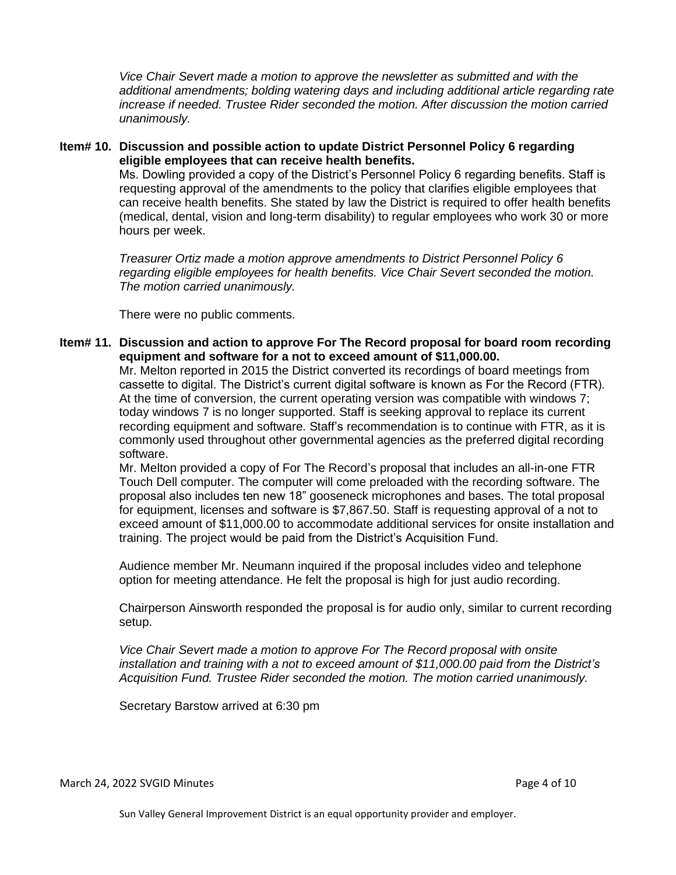*Vice Chair Severt made a motion to approve the newsletter as submitted and with the additional amendments; bolding watering days and including additional article regarding rate increase if needed. Trustee Rider seconded the motion. After discussion the motion carried unanimously.*

**Item# 10. Discussion and possible action to update District Personnel Policy 6 regarding eligible employees that can receive health benefits.**  Ms. Dowling provided a copy of the District's Personnel Policy 6 regarding benefits. Staff is requesting approval of the amendments to the policy that clarifies eligible employees that can receive health benefits. She stated by law the District is required to offer health benefits (medical, dental, vision and long-term disability) to regular employees who work 30 or more hours per week.

> *Treasurer Ortiz made a motion approve amendments to District Personnel Policy 6 regarding eligible employees for health benefits. Vice Chair Severt seconded the motion. The motion carried unanimously.*

There were no public comments.

**Item# 11. Discussion and action to approve For The Record proposal for board room recording equipment and software for a not to exceed amount of \$11,000.00.** 

Mr. Melton reported in 2015 the District converted its recordings of board meetings from cassette to digital. The District's current digital software is known as For the Record (FTR). At the time of conversion, the current operating version was compatible with windows 7; today windows 7 is no longer supported. Staff is seeking approval to replace its current recording equipment and software. Staff's recommendation is to continue with FTR, as it is commonly used throughout other governmental agencies as the preferred digital recording software.

Mr. Melton provided a copy of For The Record's proposal that includes an all-in-one FTR Touch Dell computer. The computer will come preloaded with the recording software. The proposal also includes ten new 18" gooseneck microphones and bases. The total proposal for equipment, licenses and software is \$7,867.50. Staff is requesting approval of a not to exceed amount of \$11,000.00 to accommodate additional services for onsite installation and training. The project would be paid from the District's Acquisition Fund.

Audience member Mr. Neumann inquired if the proposal includes video and telephone option for meeting attendance. He felt the proposal is high for just audio recording.

Chairperson Ainsworth responded the proposal is for audio only, similar to current recording setup.

*Vice Chair Severt made a motion to approve For The Record proposal with onsite installation and training with a not to exceed amount of \$11,000.00 paid from the District's Acquisition Fund. Trustee Rider seconded the motion. The motion carried unanimously.*

Secretary Barstow arrived at 6:30 pm

March 24, 2022 SVGID Minutes Page 4 of 10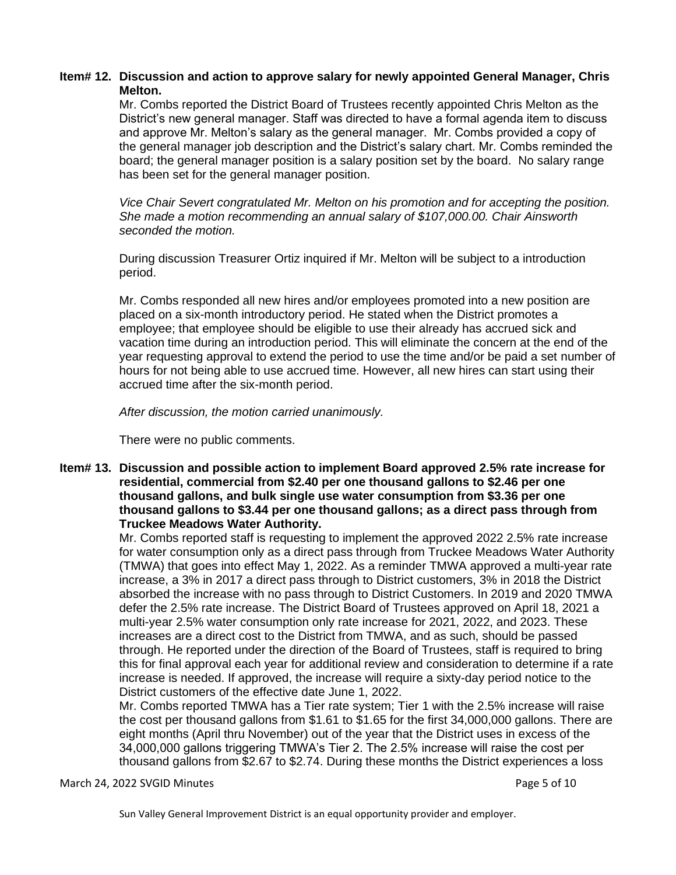## **Item# 12. Discussion and action to approve salary for newly appointed General Manager, Chris Melton.**

Mr. Combs reported the District Board of Trustees recently appointed Chris Melton as the District's new general manager. Staff was directed to have a formal agenda item to discuss and approve Mr. Melton's salary as the general manager. Mr. Combs provided a copy of the general manager job description and the District's salary chart. Mr. Combs reminded the board; the general manager position is a salary position set by the board. No salary range has been set for the general manager position.

*Vice Chair Severt congratulated Mr. Melton on his promotion and for accepting the position. She made a motion recommending an annual salary of \$107,000.00. Chair Ainsworth seconded the motion.*

During discussion Treasurer Ortiz inquired if Mr. Melton will be subject to a introduction period.

Mr. Combs responded all new hires and/or employees promoted into a new position are placed on a six-month introductory period. He stated when the District promotes a employee; that employee should be eligible to use their already has accrued sick and vacation time during an introduction period. This will eliminate the concern at the end of the year requesting approval to extend the period to use the time and/or be paid a set number of hours for not being able to use accrued time. However, all new hires can start using their accrued time after the six-month period.

*After discussion, the motion carried unanimously.* 

There were no public comments.

### **Item# 13. Discussion and possible action to implement Board approved 2.5% rate increase for residential, commercial from \$2.40 per one thousand gallons to \$2.46 per one thousand gallons, and bulk single use water consumption from \$3.36 per one thousand gallons to \$3.44 per one thousand gallons; as a direct pass through from Truckee Meadows Water Authority.**

Mr. Combs reported staff is requesting to implement the approved 2022 2.5% rate increase for water consumption only as a direct pass through from Truckee Meadows Water Authority (TMWA) that goes into effect May 1, 2022. As a reminder TMWA approved a multi-year rate increase, a 3% in 2017 a direct pass through to District customers, 3% in 2018 the District absorbed the increase with no pass through to District Customers. In 2019 and 2020 TMWA defer the 2.5% rate increase. The District Board of Trustees approved on April 18, 2021 a multi-year 2.5% water consumption only rate increase for 2021, 2022, and 2023. These increases are a direct cost to the District from TMWA, and as such, should be passed through. He reported under the direction of the Board of Trustees, staff is required to bring this for final approval each year for additional review and consideration to determine if a rate increase is needed. If approved, the increase will require a sixty-day period notice to the District customers of the effective date June 1, 2022.

Mr. Combs reported TMWA has a Tier rate system; Tier 1 with the 2.5% increase will raise the cost per thousand gallons from \$1.61 to \$1.65 for the first 34,000,000 gallons. There are eight months (April thru November) out of the year that the District uses in excess of the 34,000,000 gallons triggering TMWA's Tier 2. The 2.5% increase will raise the cost per thousand gallons from \$2.67 to \$2.74. During these months the District experiences a loss

March 24, 2022 SVGID Minutes Page 5 of 10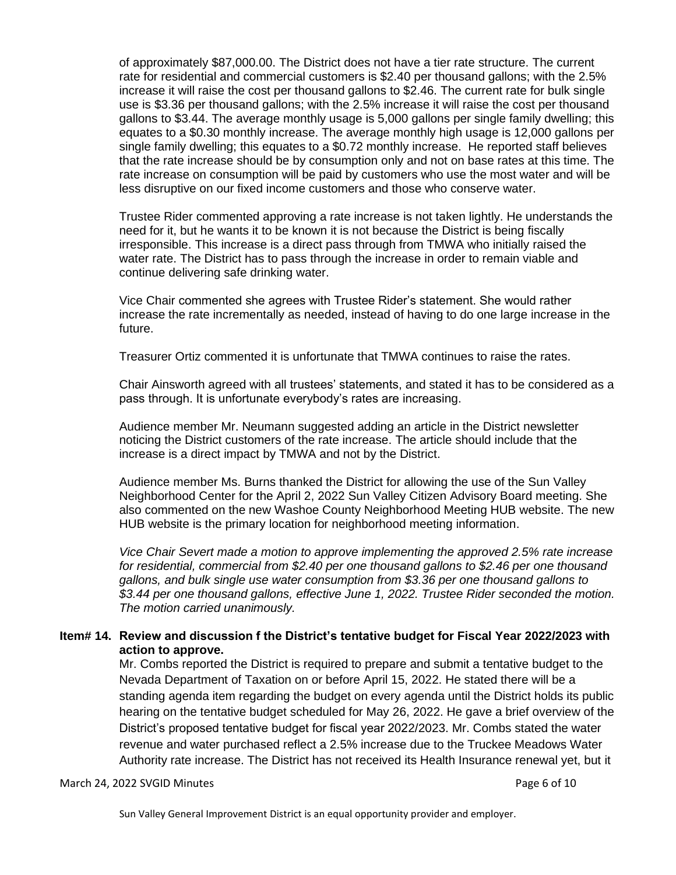of approximately \$87,000.00. The District does not have a tier rate structure. The current rate for residential and commercial customers is \$2.40 per thousand gallons; with the 2.5% increase it will raise the cost per thousand gallons to \$2.46. The current rate for bulk single use is \$3.36 per thousand gallons; with the 2.5% increase it will raise the cost per thousand gallons to \$3.44. The average monthly usage is 5,000 gallons per single family dwelling; this equates to a \$0.30 monthly increase. The average monthly high usage is 12,000 gallons per single family dwelling; this equates to a \$0.72 monthly increase. He reported staff believes that the rate increase should be by consumption only and not on base rates at this time. The rate increase on consumption will be paid by customers who use the most water and will be less disruptive on our fixed income customers and those who conserve water.

Trustee Rider commented approving a rate increase is not taken lightly. He understands the need for it, but he wants it to be known it is not because the District is being fiscally irresponsible. This increase is a direct pass through from TMWA who initially raised the water rate. The District has to pass through the increase in order to remain viable and continue delivering safe drinking water.

Vice Chair commented she agrees with Trustee Rider's statement. She would rather increase the rate incrementally as needed, instead of having to do one large increase in the future.

Treasurer Ortiz commented it is unfortunate that TMWA continues to raise the rates.

Chair Ainsworth agreed with all trustees' statements, and stated it has to be considered as a pass through. It is unfortunate everybody's rates are increasing.

Audience member Mr. Neumann suggested adding an article in the District newsletter noticing the District customers of the rate increase. The article should include that the increase is a direct impact by TMWA and not by the District.

Audience member Ms. Burns thanked the District for allowing the use of the Sun Valley Neighborhood Center for the April 2, 2022 Sun Valley Citizen Advisory Board meeting. She also commented on the new Washoe County Neighborhood Meeting HUB website. The new HUB website is the primary location for neighborhood meeting information.

*Vice Chair Severt made a motion to approve implementing the approved 2.5% rate increase for residential, commercial from \$2.40 per one thousand gallons to \$2.46 per one thousand gallons, and bulk single use water consumption from \$3.36 per one thousand gallons to \$3.44 per one thousand gallons, effective June 1, 2022. Trustee Rider seconded the motion. The motion carried unanimously.*

## **Item# 14. Review and discussion f the District's tentative budget for Fiscal Year 2022/2023 with action to approve.**

Mr. Combs reported the District is required to prepare and submit a tentative budget to the Nevada Department of Taxation on or before April 15, 2022. He stated there will be a standing agenda item regarding the budget on every agenda until the District holds its public hearing on the tentative budget scheduled for May 26, 2022. He gave a brief overview of the District's proposed tentative budget for fiscal year 2022/2023. Mr. Combs stated the water revenue and water purchased reflect a 2.5% increase due to the Truckee Meadows Water Authority rate increase. The District has not received its Health Insurance renewal yet, but it

#### March 24, 2022 SVGID Minutes Page 6 of 10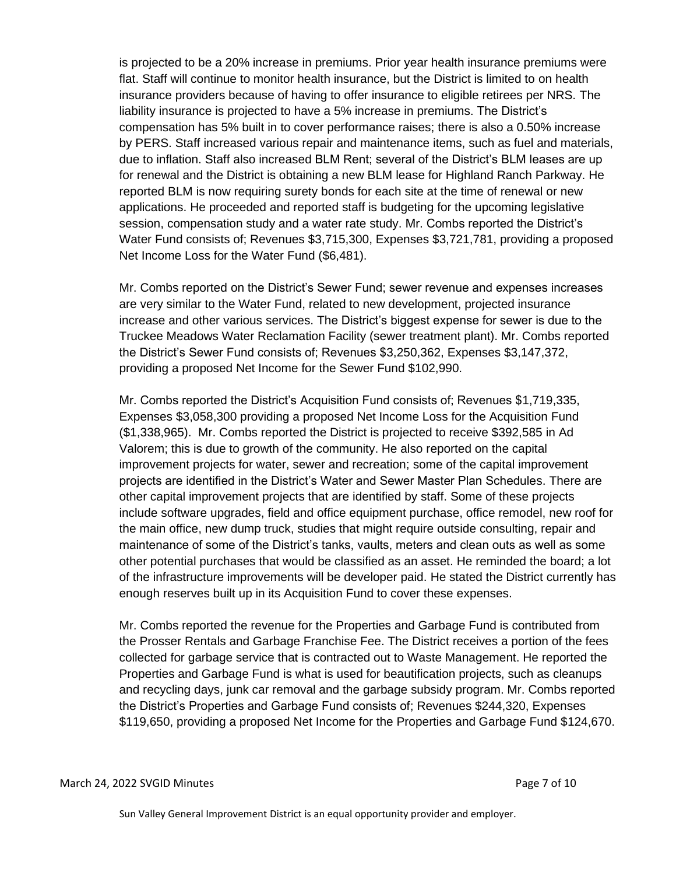is projected to be a 20% increase in premiums. Prior year health insurance premiums were flat. Staff will continue to monitor health insurance, but the District is limited to on health insurance providers because of having to offer insurance to eligible retirees per NRS. The liability insurance is projected to have a 5% increase in premiums. The District's compensation has 5% built in to cover performance raises; there is also a 0.50% increase by PERS. Staff increased various repair and maintenance items, such as fuel and materials, due to inflation. Staff also increased BLM Rent; several of the District's BLM leases are up for renewal and the District is obtaining a new BLM lease for Highland Ranch Parkway. He reported BLM is now requiring surety bonds for each site at the time of renewal or new applications. He proceeded and reported staff is budgeting for the upcoming legislative session, compensation study and a water rate study. Mr. Combs reported the District's Water Fund consists of; Revenues \$3,715,300, Expenses \$3,721,781, providing a proposed Net Income Loss for the Water Fund (\$6,481).

Mr. Combs reported on the District's Sewer Fund; sewer revenue and expenses increases are very similar to the Water Fund, related to new development, projected insurance increase and other various services. The District's biggest expense for sewer is due to the Truckee Meadows Water Reclamation Facility (sewer treatment plant). Mr. Combs reported the District's Sewer Fund consists of; Revenues \$3,250,362, Expenses \$3,147,372, providing a proposed Net Income for the Sewer Fund \$102,990.

Mr. Combs reported the District's Acquisition Fund consists of; Revenues \$1,719,335, Expenses \$3,058,300 providing a proposed Net Income Loss for the Acquisition Fund (\$1,338,965). Mr. Combs reported the District is projected to receive \$392,585 in Ad Valorem; this is due to growth of the community. He also reported on the capital improvement projects for water, sewer and recreation; some of the capital improvement projects are identified in the District's Water and Sewer Master Plan Schedules. There are other capital improvement projects that are identified by staff. Some of these projects include software upgrades, field and office equipment purchase, office remodel, new roof for the main office, new dump truck, studies that might require outside consulting, repair and maintenance of some of the District's tanks, vaults, meters and clean outs as well as some other potential purchases that would be classified as an asset. He reminded the board; a lot of the infrastructure improvements will be developer paid. He stated the District currently has enough reserves built up in its Acquisition Fund to cover these expenses.

Mr. Combs reported the revenue for the Properties and Garbage Fund is contributed from the Prosser Rentals and Garbage Franchise Fee. The District receives a portion of the fees collected for garbage service that is contracted out to Waste Management. He reported the Properties and Garbage Fund is what is used for beautification projects, such as cleanups and recycling days, junk car removal and the garbage subsidy program. Mr. Combs reported the District's Properties and Garbage Fund consists of; Revenues \$244,320, Expenses \$119,650, providing a proposed Net Income for the Properties and Garbage Fund \$124,670.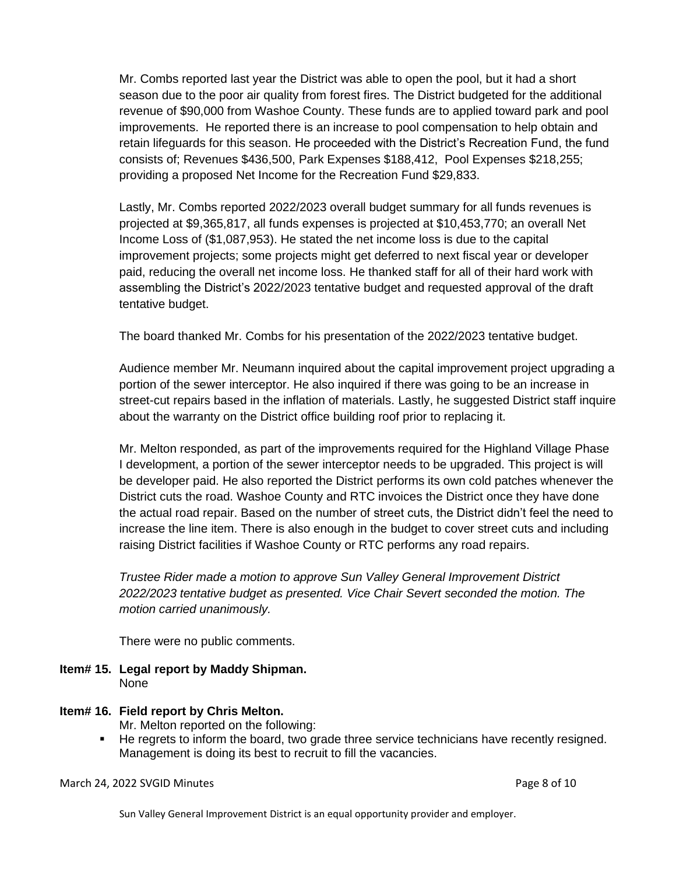Mr. Combs reported last year the District was able to open the pool, but it had a short season due to the poor air quality from forest fires. The District budgeted for the additional revenue of \$90,000 from Washoe County. These funds are to applied toward park and pool improvements. He reported there is an increase to pool compensation to help obtain and retain lifeguards for this season. He proceeded with the District's Recreation Fund, the fund consists of; Revenues \$436,500, Park Expenses \$188,412, Pool Expenses \$218,255; providing a proposed Net Income for the Recreation Fund \$29,833.

Lastly, Mr. Combs reported 2022/2023 overall budget summary for all funds revenues is projected at \$9,365,817, all funds expenses is projected at \$10,453,770; an overall Net Income Loss of (\$1,087,953). He stated the net income loss is due to the capital improvement projects; some projects might get deferred to next fiscal year or developer paid, reducing the overall net income loss. He thanked staff for all of their hard work with assembling the District's 2022/2023 tentative budget and requested approval of the draft tentative budget.

The board thanked Mr. Combs for his presentation of the 2022/2023 tentative budget.

Audience member Mr. Neumann inquired about the capital improvement project upgrading a portion of the sewer interceptor. He also inquired if there was going to be an increase in street-cut repairs based in the inflation of materials. Lastly, he suggested District staff inquire about the warranty on the District office building roof prior to replacing it.

Mr. Melton responded, as part of the improvements required for the Highland Village Phase I development, a portion of the sewer interceptor needs to be upgraded. This project is will be developer paid. He also reported the District performs its own cold patches whenever the District cuts the road. Washoe County and RTC invoices the District once they have done the actual road repair. Based on the number of street cuts, the District didn't feel the need to increase the line item. There is also enough in the budget to cover street cuts and including raising District facilities if Washoe County or RTC performs any road repairs.

*Trustee Rider made a motion to approve Sun Valley General Improvement District 2022/2023 tentative budget as presented. Vice Chair Severt seconded the motion. The motion carried unanimously.* 

There were no public comments.

- **Item# 15. Legal report by Maddy Shipman.** None
- **Item# 16. Field report by Chris Melton.**

Mr. Melton reported on the following:

▪ He regrets to inform the board, two grade three service technicians have recently resigned. Management is doing its best to recruit to fill the vacancies.

March 24, 2022 SVGID Minutes Page 8 of 10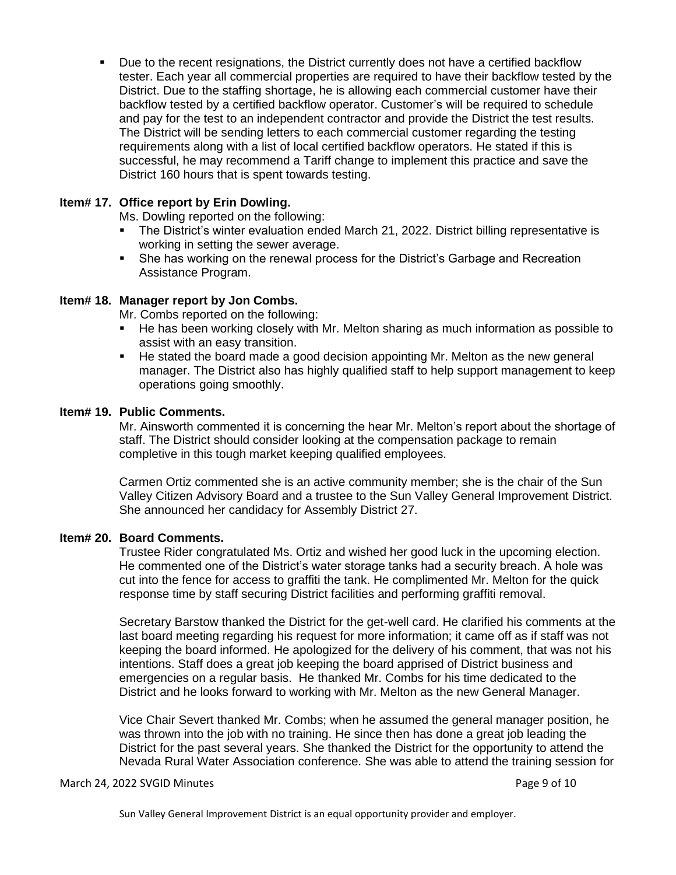Due to the recent resignations, the District currently does not have a certified backflow tester. Each year all commercial properties are required to have their backflow tested by the District. Due to the staffing shortage, he is allowing each commercial customer have their backflow tested by a certified backflow operator. Customer's will be required to schedule and pay for the test to an independent contractor and provide the District the test results. The District will be sending letters to each commercial customer regarding the testing requirements along with a list of local certified backflow operators. He stated if this is successful, he may recommend a Tariff change to implement this practice and save the District 160 hours that is spent towards testing.

## **Item# 17. Office report by Erin Dowling.**

Ms. Dowling reported on the following:

- The District's winter evaluation ended March 21, 2022. District billing representative is working in setting the sewer average.
- She has working on the renewal process for the District's Garbage and Recreation Assistance Program.

### **Item# 18. Manager report by Jon Combs.**

Mr. Combs reported on the following:

- He has been working closely with Mr. Melton sharing as much information as possible to assist with an easy transition.
- He stated the board made a good decision appointing Mr. Melton as the new general manager. The District also has highly qualified staff to help support management to keep operations going smoothly.

### **Item# 19. Public Comments.**

Mr. Ainsworth commented it is concerning the hear Mr. Melton's report about the shortage of staff. The District should consider looking at the compensation package to remain completive in this tough market keeping qualified employees.

Carmen Ortiz commented she is an active community member; she is the chair of the Sun Valley Citizen Advisory Board and a trustee to the Sun Valley General Improvement District. She announced her candidacy for Assembly District 27.

#### **Item# 20. Board Comments.**

Trustee Rider congratulated Ms. Ortiz and wished her good luck in the upcoming election. He commented one of the District's water storage tanks had a security breach. A hole was cut into the fence for access to graffiti the tank. He complimented Mr. Melton for the quick response time by staff securing District facilities and performing graffiti removal.

Secretary Barstow thanked the District for the get-well card. He clarified his comments at the last board meeting regarding his request for more information; it came off as if staff was not keeping the board informed. He apologized for the delivery of his comment, that was not his intentions. Staff does a great job keeping the board apprised of District business and emergencies on a regular basis. He thanked Mr. Combs for his time dedicated to the District and he looks forward to working with Mr. Melton as the new General Manager.

Vice Chair Severt thanked Mr. Combs; when he assumed the general manager position, he was thrown into the job with no training. He since then has done a great job leading the District for the past several years. She thanked the District for the opportunity to attend the Nevada Rural Water Association conference. She was able to attend the training session for

#### March 24, 2022 SVGID Minutes Page 9 of 10